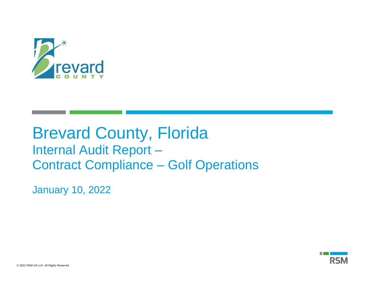

# Brevard County, Florida Internal Audit Report – Contract Compliance – Golf Operations

January 10, 2022

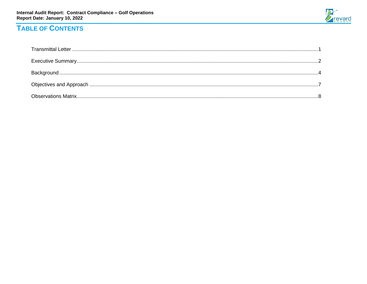

## **TABLE OF CONTENTS**

ř.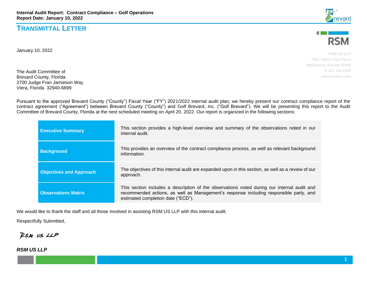### **TRANSMITTAL LETTER**

January 10, 2022

The Audit Committee of Brevard County, Florida 2700 Judge Fran Jamieson Way Viera, Florida 32940-6699

Pursuant to the approved Brevard County ("County") Fiscal Year ("FY") 2021/2022 internal audit plan, we hereby present our contract compliance report of the contract agreement ("Agreement") between Brevard County ("County") and Golf Brevard, Inc. ("Golf Brevard"). We will be presenting this report to the Audit Committee of Brevard County, Florida at the next scheduled meeting on April 20, 2022. Our report is organized in the following sections:

| <b>Executive Summary</b>       | This section provides a high-level overview and summary of the observations noted in our<br>internal audit.                                                                                                                 |
|--------------------------------|-----------------------------------------------------------------------------------------------------------------------------------------------------------------------------------------------------------------------------|
| <b>Background</b>              | This provides an overview of the contract compliance process, as well as relevant background<br>information.                                                                                                                |
| <b>Objectives and Approach</b> | The objectives of this internal audit are expanded upon in this section, as well as a review of our<br>approach.                                                                                                            |
| <b>Observations Matrix</b>     | This section includes a description of the observations noted during our internal audit and<br>recommended actions, as well as Management's response including responsible party, and<br>estimated completion date ("ECD"). |

We would like to thank the staff and all those involved in assisting RSM US LLP with this internal audit.

Respectfully Submitted,

RSM US LLP

*RSM US LLP*





**RSM US LLP 7351 Office Park Place Melbourne, Florida 32940 O 321 751 6200 www.rsmus.com**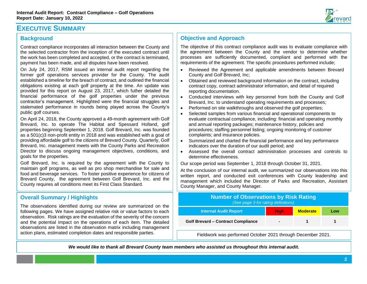

### **EXECUTIVE SUMMARY**

#### **Background**

Contract compliance incorporates all interaction between the County and the selected contractor from the inception of the executed contract until the work has been completed and accepted, or the contract is terminated, payment has been made, and all disputes have been resolved.

On July 24, 2017, RSM issued an internal audit report regarding the former golf operations services provider for the County. The audit established a timeline for the breach of contract, and outlined the financial obligations existing at each golf property at the time. An update was provided for this report on August 23, 2017, which futher detailed the financial performance of the golf properties under the previous contractor's management. Highlighted were the financial struggles and stalemated performance in rounds being played across the County's public golf courses.

On April 24, 2018, the County approved a 49-month agreement with Golf Brevard, Inc. to operate The Habitat and Spessard Holland, golf properties beginning September 1, 2018. Golf Brevard, Inc. was founded as a 501(c)3 non-profit entity in 2018 and was established with a goal of providing affordable golf to the citizens of Brevard County. Quarterly, Golf Brevard, Inc. management meets with the County Parks and Recreation Director to discuss ongoing management objectives, conditions, and goals for the properties.

Golf Brevard, Inc. is required by the agreement with the County to maintain golf programs, as well as pro shop merchandise for sale and food and beverage services. To foster positive experience for citizens of Brevard County, the agreement between Golf Brevard, Inc. and the County requires all conditions meet its First Class Standard.

#### **Overall Summary / Highlights**

The observations identified during our review are summarized on following pages. We have assigned relative risk or value factors to ea observation. Risk ratings are the evaluation of the severity of the conce and the potential impact on the operations of each item. The detail observations are listed in the observation matrix including management action plans, estimated completion dates and responsible parties.

#### **Objective and Approach**

The objective of this contract compliance audit was to evaluate compliance with the agreement between the County and the vendor to determine whether processes are sufficiently documented, compliant and performed with the requirements of the agreement. The specific procedures performed include;

- Reviewed the Agreement and applicable amendments between Brevard County and Golf Brevard, Inc;
- Obtained and reviewed background information on the contract, including contract copy, contract administrator information, and detail of required reporting documentation.
- Conducted interviews with key personnel from both the County and Golf Brevard, Inc. to understand operating requirements and processes;
- Performed on site walkthroughs and observed the golf properties;
- Selected samples from various financial and operational components to evaluate contractual compliance, including: financial and operating monthly and annual reporting packages; maintenance history, policies and procedures; staffing personnel listing; ongoing monitoring of customer complaints; and insurance policies.
- Summarized and charted the financial performance and key performance indicators over the duration of our audit period; and
- Assessed the overall contract administration processes and controls to determine effectiveness.

Our scope period was September 1, 2018 through October 31, 2021.

At the conclusion of our internal audit, we summarized our observations into this written report, and conducted exit conferences with County leadership and management which included the Director of Parks and Recreation, Assistant County Manager, and County Manager.

| the               | <b>Number of Observations by Risk Rating</b><br>(See page 3 for rating definitions) |                |                 |     |
|-------------------|-------------------------------------------------------------------------------------|----------------|-----------------|-----|
| ach               | <b>Internal Audit Report</b>                                                        | <b>High</b>    | <b>Moderate</b> | Low |
| ern<br>led<br>ent | <b>Golf Brevard - Contract Compliance</b>                                           | $\blacksquare$ |                 |     |
|                   | Fieldwork was performed October 2021 through December 2021.                         |                |                 |     |

*We would like to thank all Brevard County team members who assisted us throughout this internal audit.*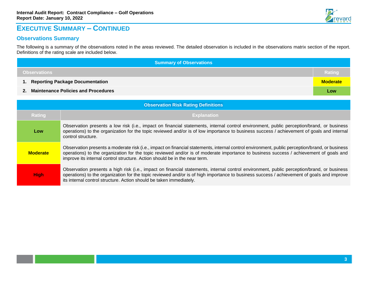

### **EXECUTIVE SUMMARY – CONTINUED**

### **Observations Summary**

The following is a summary of the observations noted in the areas reviewed. The detailed observation is included in the observations matrix section of the report. Definitions of the rating scale are included below.

| <b>Summary of Observations</b>                        |     |  |
|-------------------------------------------------------|-----|--|
| <b>Observations</b><br>Rating                         |     |  |
| 1. Reporting Package Documentation<br><b>Moderate</b> |     |  |
| 2. Maintenance Policies and Procedures                | Low |  |

| <b>Observation Risk Rating Definitions</b> |                                                                                                                                                                                                                                                                                                                                                                        |  |
|--------------------------------------------|------------------------------------------------------------------------------------------------------------------------------------------------------------------------------------------------------------------------------------------------------------------------------------------------------------------------------------------------------------------------|--|
| Rating                                     | <b>Explanation</b>                                                                                                                                                                                                                                                                                                                                                     |  |
| Low                                        | Observation presents a low risk (i.e., impact on financial statements, internal control environment, public perception/brand, or business<br>operations) to the organization for the topic reviewed and/or is of low importance to business success / achievement of goals and internal<br>control structure.                                                          |  |
| <b>Moderate</b>                            | Observation presents a moderate risk (i.e., impact on financial statements, internal control environment, public perception/brand, or business<br>operations) to the organization for the topic reviewed and/or is of moderate importance to business success / achievement of goals and<br>improve its internal control structure. Action should be in the near term. |  |
| <b>High</b>                                | Observation presents a high risk (i.e., impact on financial statements, internal control environment, public perception/brand, or business<br>operations) to the organization for the topic reviewed and/or is of high importance to business success / achievement of goals and improve<br>its internal control structure. Action should be taken immediately.        |  |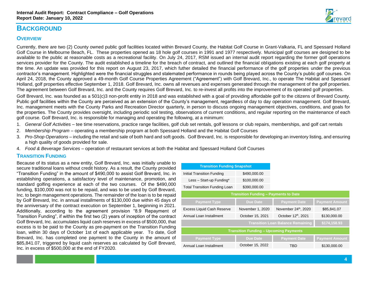

### **BACKGROUND**

#### **OVERVIEW**

Currently, there are two (2) County owned public golf facilities located within Brevard County, the Habitat Golf Course in Grant-Valkaria, FL and Spessard Holland Golf Course in Melbourne Beach, FL. These properties opened as 18 hole golf courses in 1991 and 1977 respectively. Municipal golf courses are designed to be available to the public at reasonable costs as a recreational facility. On July 24, 2017, RSM issued an internal audit report regarding the former golf operations services provider for the County. The audit established a timeline for the breach of contract, and outlined the financial obligations existing at each golf property at the time. An update was provided for this report on August 23, 2017, which futher detailed the financial performance of the golf properties under the previous contractor's management. Highlighted were the financial struggles and stalemated performance in rounds being played across the County's public golf courses. On April 24, 2018, the County approved a 49-month Golf Course Properties Agreement ("Agreement") with Golf Brevard, Inc., to operate The Habitat and Spessard Holland, golf properties effective September 1, 2018. Golf Brevard, Inc. owns all revenues and expenses generated through the management of the golf properties. The agreement between Golf Brevard, Inc. and the County requires Golf Brevard, Inc. to re-invest all profits into the improvement of its operated golf properties.

Golf Brevard, Inc. was founded as a 501(c)3 non-profit entity in 2018 and was established with a goal of providing affordable golf to the citizens of Brevard County. Public golf facilities within the County are perceived as an extension of the County's management, regardless of day to day operation management. Golf Brevard, Inc. management meets with the County Parks and Recreation Director quarterly, in person to discuss ongoing management objectives, conditions, and goals for the properties. The County provides oversight, including periodic soil testing, observations of current conditions, and regular reporting on the maintenance of each golf course. Golf Brevard, Inc. is responsible for managing and operating the following, at a minimum:

- 1. *General Golf Activities* tee time reservations, practice range facilities, golf club set rentals, golf lessons or club repairs, memberships, and golf cart rentals
- 2. *Membership Program* operating a membership program at both Spessard Holland and the Habitat Golf Courses
- 3. *Pro-Shop Operations* including the retail and sale of both hard and soft goods. Golf Brevard, Inc. is responsible for developing an inventory listing, and ensuring a high quality of goods provided for sale.
- 4. *Food & Beverage Services* operation of restaurant services at both the Habitat and Spessard Holland Golf Courses

#### **TRANSITION FUNDING**

Because of its status as a new entity, Golf Brevard, Inc. was initially unable to secure traditional loans without credit history. As a result, the County provided "Transition Funding" in the amount of \$490,000 to assist Golf Brevard, Inc. in establishing operations, a satisfactory level of maintenance, promotion, and standard golfing experience at each of the two courses. Of the \$490,000 funding, \$100,000 was not to be repaid, and was to be used by Golf Brevard, Inc. to begin management operations. The remainder of the loan is to be repaid by Golf Brevard, Inc. in annual installments of \$130,000 due within 45 days of the anniversary of the contract execution on September 1, beginning in 2021. Additionally, according to the agreement provision "8.9 Repayment of Transition Funding", if within the first two (2) years of inception of the contract Golf Brevard, Inc. accumulates liquid cash reserves in excess of \$500,000, that excess is to be paid to the County as pre-payment on the Transition Funding loan, within 30 days of October 1st of each applicable year. To date, Golf Brevard, Inc. has completed one payment to the County in the amount of \$85,841.07, triggered by liquid cash reserves as calculated by Golf Brevard, Inc. in excess of \$500,000 at the end of FY2020.

| <b>Transition Funding Snapshot</b>            |                  |                        |                       |
|-----------------------------------------------|------------------|------------------------|-----------------------|
| Initial Transition Funding                    | \$490,000.00     |                        |                       |
| Less - Start-up Funding*                      | \$100,000.00     |                        |                       |
| <b>Total Transition Funding Loan</b>          | \$390,000.00     |                        |                       |
| <b>Transition Funding - Payments to Date</b>  |                  |                        |                       |
| <b>Payment Type</b>                           | Due Date         | <b>Payment Date</b>    | <b>Payment Amount</b> |
| Excess Liquid Cash Reserve                    | November 1, 2020 | November $24th$ , 2020 | \$85,841.07           |
| Annual Loan Installment                       | October 15, 2021 | October 12th, 2021     | \$130,000.00          |
| <b>Transition Loan Balance Remaining</b>      |                  |                        | \$174,158.93          |
| <b>Transition Funding - Upcoming Payments</b> |                  |                        |                       |
| <b>Payment Type</b>                           | <b>Due Date</b>  | <b>Payment Date</b>    | <b>Payment Amount</b> |
| Annual Loan Installment                       | October 15, 2022 | TBD                    | \$130,000.00          |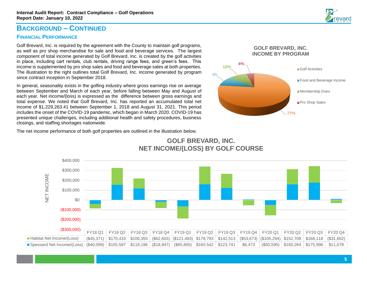### **BACKGROUND – CONTINUED**

#### **FINANCIAL PERFORMANCE**

.

Golf Brevard, Inc. is required by the agreement with the County to maintain golf programs, as well as pro shop merchandise for sale and food and beverage services. The largest component of total income generated by Golf Brevard, Inc. is created by the golf activities in place, including cart rentals, club rentals, driving range fees, and green's fees. This income is supplemented by pro shop sales and food and beverage sales at both properties. The illustration to the right outlines total Golf Brevard, Inc. income generated by program since contract inception in September 2018.

In general, seasonality exists in the golfing industry where gross earnings rise on average between September and March of each year, before falling between May and August of each year. Net income/(loss) is expressed as the difference between gross earnings and total expense. We noted that Golf Brevard, Inc. has reported an accumulated total net income of \$1,229,263.41 between September 1, 2018 and August 31, 2021. This period includes the onset of the COVID-19 pandemic, which began in March 2020. COVID-19 has presented unique challenges, including additional health and safety procedures, business closings, and staffing shortages nationwide.



The net income performance of both golf properties are outlined in the illustration below.

![](_page_6_Figure_7.jpeg)

### **GOLF BREVARD, INC. NET INCOME/(LOSS) BY GOLF COURSE**

![](_page_6_Picture_9.jpeg)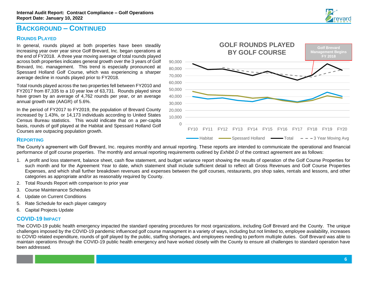### **BACKGROUND – CONTINUED**

#### **ROUNDS PLAYED**

In general, rounds played at both properties have been steadily increasing year over year since Golf Brevard, Inc. began operations at the end of FY2018. A three year moving average of total rounds played across both properties indicates general growth over the 3 years of Golf Brevard, Inc. management. This trend is especially pronounced at Spessard Holland Golf Course, which was experiencing a sharper average decline in rounds played prior to FY2018.

Total rounds played across the two properties fell between FY2010 and FY2017 from 87,335 to a 10 year low of 63,731. Rounds played since have grown by an average of 4,762 rounds per year, or an average annual growth rate (AAGR) of 5.6%.

In the period of FY2017 to FY2019, the population of Brevard County increased by 1.43%, or 14,173 individuals according to United States Census Bureau statistics. This would indicate that on a per-capita basis, rounds of golf played at the Habitat and Spessard Holland Golf Courses are outpacing population growth.

![](_page_7_Figure_6.jpeg)

#### **REPORTING**

The County's agreement with Golf Brevard, Inc. requires monthly and annual reporting. These reports are intended to communicate the operational and financial performance of golf course properties. The monthly and annual reporting requirements outlined by Exhibit D of the contract agreement are as follows:

- 1. A profit and loss statement, balance sheet, cash flow statement, and budget variance report showing the results of operation of the Golf Course Properties for such month and for the Agreement Year to date, which statement shall include sufficient detail to reflect all Gross Revenues and Golf Course Properties Expenses, and which shall further breakdown revenues and expenses between the golf courses, restaurants, pro shop sales, rentals and lessons, and other categories as appropriate and/or as reasonably required by County.
- 2. Total Rounds Report with comparison to prior year
- 3. Course Maintenance Schedules
- 4. Update on Current Conditions
- 5. Rate Schedule for each player category
- 6. Capital Projects Update

#### **COVID-19 IMPACT**

The COVID-19 public health emergency impacted the standard operating procedures for most organizations, including Golf Brevard and the County. The unique challenges imposed by the COVID-19 pandemic influenced golf course managment in a variety of ways, including but not limited to, employee availability, increases to COVID related expenditure, rounds of golf played by the public, staffing shortages, and employees needing to perform multiple duties. Golf Brevard was able to maintain operations through the COVID-19 public health emergency and have worked closely with the County to ensure all challenges to standard operation have been addressed.

![](_page_7_Picture_17.jpeg)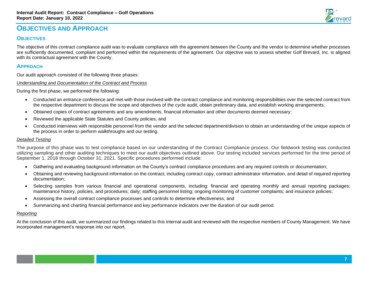### **OBJECTIVES AND APPROACH**

#### **OBJECTIVES**

The objective of this contract compliance audit was to evaluate compliance with the agreement between the County and the vendor to determine whether processes are sufficiently documented, compliant and performed within the requirements of the agreement. Our objective was to assess whether Golf Brevard, Inc. is aligned with its contractual agreement with the County.

#### **APPROACH**

Our audit approach consisted of the following three phases:

*Understanding and Documentation of the Contract and Process*

During the first phase, we performed the following:

- Conducted an entrance conference and met with those involved with the contract compliance and monitoring responsibilities over the selected contract from the respective department to discuss the scope and objectives of the cycle audit, obtain preliminary data, and establish working arrangements;
- Obtained copies of contract agreements and any amendments, financial information and other documents deemed necessary;
- Reviewed the applicable State Statutes and County policies; and
- Conducted interviews with responsible personnel from the vendor and the selected department/division to obtain an understanding of the unique aspects of the process in order to perform walkthroughs and our testing.

#### *Detailed Testing*

The purpose of this phase was to test compliance based on our understanding of the Contract Compliance process. Our fieldwork testing was conducted utilizing sampling and other auditing techniques to meet our audit objectives outlined above. Our testing included services performed for the time period of September 1, 2018 through October 31, 2021. Specific procedures performed include:

- Gathering and evaluating background information on the County's contract compliance procedures and any required controls or documentation;
- Obtaining and reviewing background information on the contract, including contract copy, contract administrator information, and detail of required reporting documentation;
- Selecting samples from various financial and operational components, including: financial and operating monthly and annual reporting packages; maintenance history, policies, and procedures; daily; staffing personnel listing; ongoing monitoring of customer complaints; and insurance policies;
- Assessing the overall contract compliance processes and controls to determine effectiveness; and
- Summarizing and charting financial performance and key performance indicators over the duration of our audit period.

#### *Reporting*

At the conclusion of this audit, we summarized our findings related to this internal audit and reviewed with the respective members of County Management. We have incorporated management's response into our report.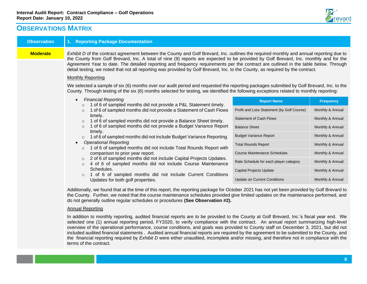terms of the contract.

![](_page_9_Picture_1.jpeg)

### **OBSERVATIONS MATRIX**

| <b>Observation</b> | 1. Reporting Package Documentation                                                                                                                                                                                                                                                                                                                                                                                                                                                                                                                                                                                                                                                                                                                                                                                                                                                                                 |                                            |                  |  |
|--------------------|--------------------------------------------------------------------------------------------------------------------------------------------------------------------------------------------------------------------------------------------------------------------------------------------------------------------------------------------------------------------------------------------------------------------------------------------------------------------------------------------------------------------------------------------------------------------------------------------------------------------------------------------------------------------------------------------------------------------------------------------------------------------------------------------------------------------------------------------------------------------------------------------------------------------|--------------------------------------------|------------------|--|
| <b>Moderate</b>    | Exhibit D of the contract agreement between the County and Golf Brevard, Inc. outlines the required monthly and annual reporting due to<br>the County from Golf Brevard, Inc. A total of nine (9) reports are expected to be provided by Golf Brevard, Inc. monthly and for the<br>Agreement Year to date. The detailed reporting and frequency requirements per the contract are outlined in the table below. Through<br>detail testing, we noted that not all reporting was provided by Golf Brevard, Inc. to the County, as required by the contract.<br><b>Monthly Reporting</b>                                                                                                                                                                                                                                                                                                                               |                                            |                  |  |
|                    | We selected a sample of six (6) months over our audit period and requested the reporting packages submitted by Golf Brevard, Inc. to the<br>County. Through testing of the six (6) months selected for testing, we identified the following exceptions related to monthly reporting:                                                                                                                                                                                                                                                                                                                                                                                                                                                                                                                                                                                                                               |                                            |                  |  |
|                    | <b>Financial Reporting</b><br>$\bullet$<br>1 of 6 of sampled months did not provide a P&L Statement timely.<br>$\circ$<br>1 of 6 of sampled months did not provide a Statement of Cash Flows<br>$\circ$<br>timely.<br>1 of 6 of sampled months did not provide a Balance Sheet timely.<br>$\circ$<br>1 of 6 of sampled months did not provide a Budget Variance Report<br>$\circ$<br>timely.<br>1 of 6 of sampled months did not include Budget Variance Reporting.<br>$\circ$<br><b>Operational Reporting</b><br>$\bullet$<br>1 of 6 of sampled months did not include Total Rounds Report with<br>$\circ$<br>comparison to prior year report.<br>2 of 6 of sampled months did not include Capital Projects Updates.<br>4 of 6 of sampled months did not include Course Maintenance<br>Schedules.<br>1 of 6 of sampled months did not include Current Conditions<br>$\Omega$<br>Updates for both golf properties. | <b>Report Name</b>                         | <b>Frequency</b> |  |
|                    |                                                                                                                                                                                                                                                                                                                                                                                                                                                                                                                                                                                                                                                                                                                                                                                                                                                                                                                    | Profit and Loss Statement (by Golf Course) | Monthly & Annual |  |
|                    |                                                                                                                                                                                                                                                                                                                                                                                                                                                                                                                                                                                                                                                                                                                                                                                                                                                                                                                    | <b>Statement of Cash Flows</b>             | Monthly & Annual |  |
|                    |                                                                                                                                                                                                                                                                                                                                                                                                                                                                                                                                                                                                                                                                                                                                                                                                                                                                                                                    | <b>Balance Sheet</b>                       | Monthly & Annual |  |
|                    |                                                                                                                                                                                                                                                                                                                                                                                                                                                                                                                                                                                                                                                                                                                                                                                                                                                                                                                    | <b>Budget Variance Report</b>              | Monthly & Annual |  |
|                    |                                                                                                                                                                                                                                                                                                                                                                                                                                                                                                                                                                                                                                                                                                                                                                                                                                                                                                                    | <b>Total Rounds Report</b>                 | Monthly & Annual |  |
|                    |                                                                                                                                                                                                                                                                                                                                                                                                                                                                                                                                                                                                                                                                                                                                                                                                                                                                                                                    | <b>Course Maintenance Schedules</b>        | Monthly & Annual |  |
|                    |                                                                                                                                                                                                                                                                                                                                                                                                                                                                                                                                                                                                                                                                                                                                                                                                                                                                                                                    | Rate Schedule for each player category     | Monthly & Annual |  |
|                    |                                                                                                                                                                                                                                                                                                                                                                                                                                                                                                                                                                                                                                                                                                                                                                                                                                                                                                                    | Capital Projects Update                    | Monthly & Annual |  |
|                    |                                                                                                                                                                                                                                                                                                                                                                                                                                                                                                                                                                                                                                                                                                                                                                                                                                                                                                                    | <b>Update on Current Conditions</b>        | Monthly & Annual |  |
|                    | Additionally, we found that at the time of this report, the reporting package for October 2021 has not yet been provided by Golf Brevard to<br>the County. Further, we noted that the course maintenance schedules provided give limited updates on the maintenance performed, and<br>do not generally outline regular schedules or procedures (See Observation #2).                                                                                                                                                                                                                                                                                                                                                                                                                                                                                                                                               |                                            |                  |  |
|                    | <b>Annual Reporting</b>                                                                                                                                                                                                                                                                                                                                                                                                                                                                                                                                                                                                                                                                                                                                                                                                                                                                                            |                                            |                  |  |
|                    | In addition to monthly reporting, audited financial reports are to be provided to the County at Golf Brevard, Inc.'s fiscal year end. We                                                                                                                                                                                                                                                                                                                                                                                                                                                                                                                                                                                                                                                                                                                                                                           |                                            |                  |  |

selected one (1) annual reporting period, FY2020, to verify compliance with the contract. An annual report summarizing high-level overview of the operational performance, course conditions, and goals was provided to County staff on December 3, 2021, but did not included audited financial statements . Audited annual financial reports are required by the agreement to be submitted to the County, and the financial reporting required by *Exhibit D* were either unaudited, incomplete and/or missing, and therefore not in compliance with the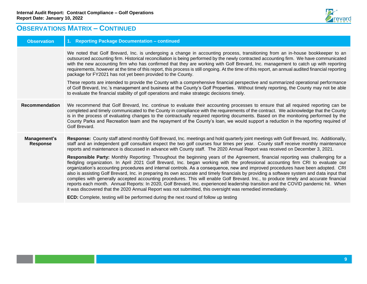![](_page_10_Picture_1.jpeg)

### **OBSERVATIONS MATRIX – CONTINUED**

| <b>Observation</b>              | 1. Reporting Package Documentation - continued                                                                                                                                                                                                                                                                                                                                                                                                                                                                                                                                                                                                                                                                                                                                                                                                                                                                                                                                                                                                                                                                                                                                                                                                                                                                                                                                                                                                                       |
|---------------------------------|----------------------------------------------------------------------------------------------------------------------------------------------------------------------------------------------------------------------------------------------------------------------------------------------------------------------------------------------------------------------------------------------------------------------------------------------------------------------------------------------------------------------------------------------------------------------------------------------------------------------------------------------------------------------------------------------------------------------------------------------------------------------------------------------------------------------------------------------------------------------------------------------------------------------------------------------------------------------------------------------------------------------------------------------------------------------------------------------------------------------------------------------------------------------------------------------------------------------------------------------------------------------------------------------------------------------------------------------------------------------------------------------------------------------------------------------------------------------|
|                                 | We noted that Golf Brevard, Inc. is undergoing a change in accounting process, transitioning from an in-house bookkeeper to an<br>outsourced accounting firm. Historical reconciliation is being performed by the newly contracted accounting firm. We have communicated<br>with the new accounting firm who has confirmed that they are working with Golf Brevard, Inc. management to catch up with reporting<br>requirements, however at the time of this report, this process is still ongoing. At the time of this report, an annual audited financial reporting<br>package for FY2021 has not yet been provided to the County.<br>These reports are intended to provide the County with a comprehensive financial perspective and summarized operational performance<br>of Golf Brevard, Inc.'s management and business at the County's Golf Properties. Without timely reporting, the County may not be able                                                                                                                                                                                                                                                                                                                                                                                                                                                                                                                                                   |
|                                 | to evaluate the financial stability of golf operations and make strategic decisions timely.                                                                                                                                                                                                                                                                                                                                                                                                                                                                                                                                                                                                                                                                                                                                                                                                                                                                                                                                                                                                                                                                                                                                                                                                                                                                                                                                                                          |
| <b>Recommendation</b>           | We recommend that Golf Brevard, Inc. continue to evaluate their accounting processes to ensure that all required reporting can be<br>completed and timely communicated to the County in compliance with the requirements of the contract. We acknowledge that the County<br>is in the process of evaluating changes to the contractually required reporting documents. Based on the monitoring performed by the<br>County Parks and Recreation team and the repayment of the County's loan, we would support a reduction in the reporting required of<br>Golf Brevard.                                                                                                                                                                                                                                                                                                                                                                                                                                                                                                                                                                                                                                                                                                                                                                                                                                                                                               |
| Management's<br><b>Response</b> | Response: County staff attend monthly Golf Brevard, Inc. meetings and hold quarterly joint meetings with Golf Brevard, Inc. Additionally,<br>staff and an independent golf consultant inspect the two golf courses four times per year. County staff receive monthly maintenance<br>reports and maintenance is discussed in advance with County staff. The 2020 Annual Report was received on December 3, 2021.<br>Responsible Party: Monthly Reporting: Throughout the beginning years of the Agreement, financial reporting was challenging for a<br>fledgling organization. In April 2021 Golf Brevard, Inc. began working with the professional accounting firm CRI to evaluate our<br>organization's accounting procedures and internal controls. As a consequence, new and improved procedures have been adopted. CRI<br>also is assisting Golf Brevard, Inc. in preparing its own accurate and timely financials by providing a software system and data input that<br>complies with generally accepted accounting procedures. This will enable Golf Brevard. Inc., to produce timely and accurate financial<br>reports each month. Annual Reports: In 2020, Golf Brevard, Inc. experienced leadership transition and the COVID pandemic hit. When<br>it was discovered that the 2020 Annual Report was not submitted, this oversight was remedied immediately.<br><b>ECD:</b> Complete, testing will be performed during the next round of follow up testing |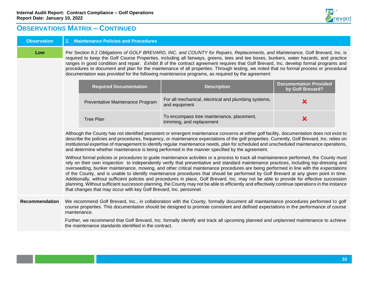![](_page_11_Picture_1.jpeg)

### **OBSERVATIONS MATRIX – CONTINUED**

### **Observation 2. Maintenance Policies and Procedures Low** Per Section 8.2 *Obligations of GOLF BREVARD, INC. and COUNTY for Repairs, Replacements, and Maintenance, Golf Brevard, Inc. is* required to keep the Golf Course Properties, including all fairways, greens, tees and tee boxes, bunkers, water hazards, and practice ranges in good condition and repair. *Exhibit B* of the contract agreement requires that Golf Brevard, Inc. develop formal programs and procedures to document and plan for the maintenance of all properties. Through testing, we noted that no formal process or procedural documentation was provided for the following maintenance programs, as required by the agreement: **Required Documentation Description Documentation Provided by Golf Brevard?** Preventative Maintenance Program For all mechanical, electrical and plumbing systems, and  $\frac{1}{2}$ To encompass tree maintenance, placement, Tree Plan To encompass tree maintenance, placement, Tree Plan To the Music Section 1997 and replacement Although the County has not identified persistent or emergent maintenance concerns at either golf facility, documentation does not exist to describe the policies and procedures, frequency, or maintenance expectations of the golf properties. Currently, Golf Brevard, Inc. relies on institutional expertise of management to identify regular maintenance needs, plan for scheduled and unscheduled maintenance operations, and determine whether maintenance is being performed in the manner specified by the agreement. Without formal policies or procedures to guide maintenance activities or a process to track all maintainenece performed, the County must rely on their own inspection to independently verify that preventiative and standard maintenance practices, including top-dressing and overseeding, bunker maintenance, mowing, and other critical maintenance procedures are being performed in line with the expectations of the County, and is unable to identify maintenance procedures that should be performed by Golf Brevard at any given point in time. Additionally, without sufficient policies and procedures in place, Golf Brevard, Inc. may not be able to provide for effective succession planning. Without sufficient successon planning, the County may not be able to efficiently and effectively continue operations in the instance that changes that may occur with key Golf Brevard, Inc. personnel. **Recommendation** We recommend Golf Brevard, Inc., in collaboration with the County, formally document all maintaintance procedures performed to golf course properties. This documentation should be designed to promote consistent and defined expectations in the performance of course maintenance. Further, we recommend that Golf Brevard, Inc. formally identify and track all upcoming planned and unplanned maintenance to achieve the maintenance standards identified in the contract.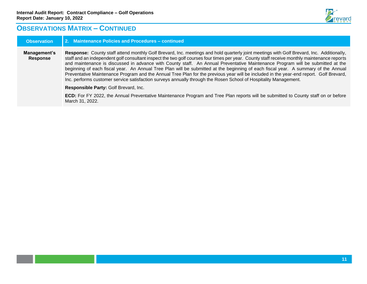![](_page_12_Picture_1.jpeg)

### **OBSERVATIONS MATRIX – CONTINUED**

| <b>Observation</b>       | 2. Maintenance Policies and Procedures - continued                                                                                                                                                                                                                                                                                                                                                                                                                                                                                                                                                                                                                                                                                                                                                                             |
|--------------------------|--------------------------------------------------------------------------------------------------------------------------------------------------------------------------------------------------------------------------------------------------------------------------------------------------------------------------------------------------------------------------------------------------------------------------------------------------------------------------------------------------------------------------------------------------------------------------------------------------------------------------------------------------------------------------------------------------------------------------------------------------------------------------------------------------------------------------------|
| Management's<br>Response | Response: County staff attend monthly Golf Brevard, Inc. meetings and hold quarterly joint meetings with Golf Brevard, Inc. Additionally,<br>staff and an independent golf consultant inspect the two golf courses four times per year. County staff receive monthly maintenance reports<br>and maintenance is discussed in advance with County staff. An Annual Preventative Maintenance Program will be submitted at the<br>beginning of each fiscal year. An Annual Tree Plan will be submitted at the beginning of each fiscal year. A summary of the Annual<br>Preventative Maintenance Program and the Annual Tree Plan for the previous year will be included in the year-end report. Golf Brevard,<br>Inc. performs customer service satisfaction surveys annually through the Rosen School of Hospitality Management. |
|                          | Responsible Party: Golf Brevard, Inc.                                                                                                                                                                                                                                                                                                                                                                                                                                                                                                                                                                                                                                                                                                                                                                                          |
|                          | <b>ECD:</b> For FY 2022, the Annual Preventative Maintenance Program and Tree Plan reports will be submitted to County staff on or before<br>March 31, 2022.                                                                                                                                                                                                                                                                                                                                                                                                                                                                                                                                                                                                                                                                   |